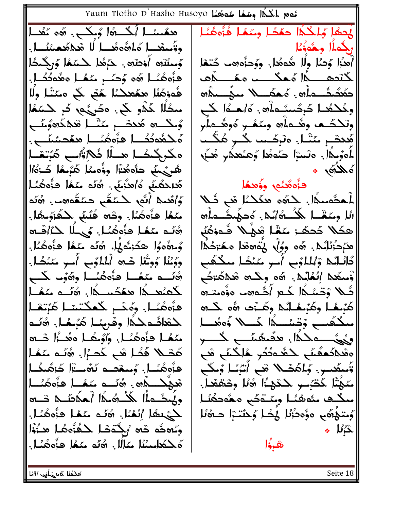raum Tlotho D'Hasho Husoyo مُعْمًا مُعْمَدًا Yaum Tlotho D'Hasho Husoyo همْسُلُمْ أَكْسُواْ وَبِكَبٍ. وَهُ تَعْسَلُ لْمَعَهَا وَلَمَكُمَا حَمَّدًا وَمَمَّا فُزْهِهُمَا وتُصعْط كَاهُوهُكا لَا شَكْعُهِمُنُا. بكملأ وهُوُمُا وَسِلْلَهِ ﴾وَدِلَهِ . دَرِّهُا كَسَمُا وَرِكْبِدًا أَهْزًا وَحَبًّا وِلَا هُدَهُداً. وَوَحِزُّدَهِ حَتَّمَا فأههُما هُو وُحمَّى مَعْا وهُودُهُـاٍ. كَتْتُمْتَ الْمُسْمَدُ مَسْتَدَهَا مَعْصُدُ ـ مِلْمَ مِنْ مِحْمَدِ مِلْمَ ـ مِثْمِرِ فْوَدْمُلَا هِمُعِنْدُمَا هُنْ ﴾ هي مَنْشَا ولَا وِكْلَـْقَا كَرْكَـْسْـْـْمَارَه. هَ/هــدُا كَــح منْكُلًا كَذُّو كُلِّ. ەكْرِيْكُمْ كَرِ كَسْمُلْكُمْ وُكْتُ مَعْدَبٍ مَنْسًا شَدْخُمْوَيْتَ وتككلف وهُلماه ومحصُب هُوهُلماَن ەَ كَتُدَدُّسًا قَزْدَهُمْسًا مَكَّحِسَّسًى. يَعجَبِ مَثَـا. ەتېخــى كـــر مُكـــ ەڭرېڭىئىل ھىللى ئىلاۋىپ كېتقىل لَمَوۡبِـٰٰهَا ۚ وَيَسۡبَا ۖ حَيۡمَعُا ۖ وَعِنُعِكُم ۖ قُنِّيۡ ۖ هُرِيَّهِمَّهِ حَأَهَقُتْوَا وِذُهِمْاً كَبَْعُا كَـٰزَهُا  $\sim 100$ فأوقُلُم ووُهمًا هَدَهَمَهُ ﴾ أَمْنَ مُ أَمِّ مَعْهُ وَأَوْهُمَا لَمَنَ أَهدُّمبدًا. حَدَّه مكْحَمًا مْع ثَــلا وَاهْدِهِ أَنَّهِ لِحُسَّفُ صَنْقُوهِ . هُكُو مَمْمَا فَأَوْهُمُا. وِدْو فُلِّيَهِ كَفَرِّمْهَا. ائل وعقْط لَكُ شَابُك. دَجَكْتُ دَلَّةٌ a مَمْائِكَ الْمِنْ، لَدْهُ مِثْنَا عَامَةَ مِنْهُمْ هكَلا كَحفَ عَقْاً مِّنْ لا فُءنكُلِّ هَبُحُزُلُلُهُ. هُه وِوُلُ لِتَّةَهِ هَا مَعْبَحُهَ وُ وَهُوَا هَدَيْتُولَا. وَهُ مَعْهَا هِزْهِ هُمَا. وَوَعُلًا وَوِتُنَا شَدِّه ٱلْمَاوُبِ أُسِرِ مَعْنُصًا. كَانُلِكُمْ وْالْمُدُوِّبِ أُسِرِ مَنْكُلِ مِكْكُبِ هُنَّــه مَعْــا هِنُوهُـُــا وِهُوُبِ كَـــح وْسِطُدا إِنْعُانُدا. هُ٥ وِكْمِ هْدَاكْتِفْ لْكَعْنُعِيْدُا مِكْجَبِيْدًا. وْتَيْتُ مَنْصًا ثَــلا وْتَــْنُــدَٰا لَمَــمْ أُهَّــه¤ت هؤُمِنْــه هِزُوهُمُـا وِوَحْبِ كَمكْتَسْـا هُبْتَهْـا كَبُسُما وكَبُسْمالُه وكَــْت ۞ كَــِرَه َكْتَعْلِثُـْمَكْمَالُ وَقَرِبِهُـٰلُمْ كُبُرِـهُـٰلُ. وُكُـُـم سككَعب وْتَسْسَلَا كَـــلا وُهمُـــا ويُوشَّـــــــه دَدَّا. مَدَّصَمَّــَـــــ دَــــــــــو مَعْصًا قَزْدَهُمْاً. وَٱوۡمِكَا دَهُنَّا شَـد كَصْلاً فَعُا هُى كَحبُّا. هُنَه مَعْا ەھْلاَكْمَقْسًا لْمَشْدَدُكُو جُلَكْسًا شَي وَّسِعَسِي. وَلَمَصْلا مْعِ أَتَبْتَا وَلَكَع قَوْهِكْسَا. وُمَعْقَدَ لَهُمْتُوا كَرْكُمْكُمْ هُهْلِــــآه. هُنَـــه مَعْــا هزُّههُــا عَيْشًا خَتَبَـــر حَــْدَيْ-ًا هُـُـل وحْـقَعْــا . ويُنشَّماً لَكُـْ هُدًا أَحكَمتَك شَـــه سكـف مثَمَعْنُـا وِمُتَمَكَّــ مِعْمَدِهُنَا. لِحَدْمِثُمَا الْعُبُلْ. شَكَّد مَعْمَا هِزْدَهُمَا. وَْسَيْرَهُمْ وَوُودُنُا لِمَكَّا وَجِئَتَـٰۭٓٓٓٓٓا حَـهُـُا وِمَهجَّه دُه رُكْتَهْـ لَـكُنُّهكُـ هـزُوْا جنوا پ كَكْلِمِنْنَا مَالَا. 20 مَعْا قَوْدَهُمَا. ۿڔؙؗؗۥٛ

تَعَلَّمُ الْمَسْتَمَامَةِ الْمُسْتَمَامَةِ الْمُسْتَمَامَةِ الْمُسْتَمَامَةِ الْمُسْتَمَامَةِ الْمُسْتَمَامَة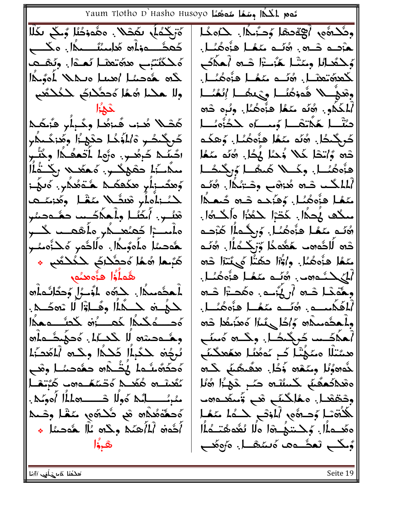تَّوْمِ لِمُكْمُلٍ مِمْعُلٍ مُتَوَهْنًا Vaum Tlotho D`Hasho Husoyo ەُرْكَـْمَا) ىكىشىلا . ەھْەزىتُىلا ۋىـكى ىكىللا وثَكْشُو، اُهْفُصْهَا وُحِنُبِكَا. كَاهِكَا كَعْشَـــْــْمَوْلُمْ هَٰامْنُنُّــْـْـْمَلَا. مَكْـــــِ هْرْصُمْ شَـْرُهُ . «كُلّْـمْ مْتْغُلْلْ فَزّْدَهْنْـلْ. وَحِكْدالًا وِمَتْدًا هُزَسْرًا دْ3 أَهْلَاك َهكَنّْتَنِبِ هؤةتمثل نُعسَّا. وِنُشَـم لكَة حُدَيْسًا اهتبا وبكلا لمُوَجَدًا كَعِدَهُ تَعْشَــل. هُنَـــم مَعْصَــل فَأَوهُــل. ولا حكىا شُعُا دُحثُكِ كَحُكْتُبِ وهجْسِلا هُومُسُل ويْبِعْصِلْ إِنْهُمُسْلِ أَمْلَكُمُو. هُنُه مَعْعُلُ هِزْهِهُمْلُ. وِنُرِه حْتِهِ تحلئ كَصْلا هُــٰهَـ قَـٰـٰهَـٰطِ وِكُــٰہِلُہٖ فَہُـکَـٰہٗ دَنْتْــا هَدّْتَـقْـــا وُمــــاه حْـدُرُّه مُـــا كَمِيْكُمْلْ. هُنُه سُعُلْ فِتُوهُمُلْ. وُهكُـه كَرِبْكُسُو ةَالمُؤْمُل حَكَمْ أَلِ وَهُزَمَّسَلَاتٍ دْهِ ۚ وُاتِحْا خَلا ۚ وُحِبَّا ۖ وَكُمَّا ﴾ وَمَعَ حَمْعًا ادَّىنَـٰہٗ دَٰٓہِمُـٰٓبِ. ہْٖنَٓہٗہٗ اوۡقَصَٰہُؕا وِخُنُّـہِ مِلْمَسَنُهِا حَصْوَكَ بِ مُعَصَدِ رَبِّكَ شُمْلًا فأههُمُا. وكَمِلا هَيهُما وُرِجَّهُما وَهتَسزِلَمٍ هكَفَصَلا هُنْدَهُرٍ. كَانُهَا: لْمَلَمَّـْتَ هُدَهُ مُؤْتُمِ وَشَيْئُكُمْلَ. هُكُتُ للسُناهِ اللَّهُ وَسَنَّىٰ اللَّهُ اللَّهُ وَهُدَهُ وَلَدَ عَلَيْهِ مِنْهُ وَلَدًا مِنْهُ وَلَدًا مِ مَعْصًا فَأَوْهُمُا. وُفَرَّدَه ذَهِ كَنْفَذَا هْنُــرِ. أَمَكُـُــا وِلْـعِدَّكَـــب حصَّــهحمْبر سكُف بُحكَّا. حَتَّةَ لِكَعْزَا وَأَحْدَوُا. مأسبةا كمنعلكر مأهمينا كلبر هُنَّه مَعْلَم فَأُهِكُما. وُرِكُماْ! كَنْصَه دْهِ لَاحُوهِ هَغُمطُ وَرَبِّكُمُالَ. هُنَّكُ ِ هُدَمَنُا دَاُدَوُنِكَا). دَلَاشُورِ كَكَنُّومُتُـرِ كَبُرِها هُـهَا هُحثَدْتَ حَـنُدْتَفِ \* مَمَّا هِزْوِهُمْا وَارْْرًا حَمَّتْا وَيَسْتَالَ هُو هُملُوُّا هِ أُهمْدُو أَلْمَكْتُمُومَ. وْݣُلْمْ مْكْلّْ قْزُوْهُمْلْ. ـلْـعثَـمـداًا . ــكِـهُ٥ ـلزُّــرُلِّ وُحثَالُـمالُه وهَقْمْدا دْهْ أَرْ لِيُرْجِدِ. ەكْھَنْزا دْه لحَيْمَةِ لِحَــكَٰلاً وَقَــاةٌا لَا تَحكــد. أَلمَكْمُسِـد، هُنَـد مَعْصًـا هزُّەهُـُــا. هُحَسَـهُكُمُا كَعَــــرُّةَ كَحَثَـــمِمُا ومَ مَعْنَهُمْ أَسْرَرِ أَعْلَى مِهْتَمَاهِ وَمَنْ مِنْهُمْ مِنْ مِنْ مِنْ مَنْ مَنْ وهُــدمـده لَا كَدْلَا. هُدهُمْشُـداْه أهدَكَـــــــــــ كَــرجَــُــكـــا. وحَـــده كَــمَنَــع همَّتْلًا ممَّهُنَّا كَم مَّعْظًا همَّعكْتَبِ نُہجُن حَكَباًا كَحْكَا وِحْد ٱلْمَحْدَدُ ەَحَدُهُىئىما پُتُــدُه حمُّەحى*ئ*ـا وقب خُورُوُلُمْ وَحَكُورُ وَجُلْ هِجَعَمَهِ كَلِي كَعْشَــْهِ هُهُـــدٌ هُـتّْمَــْمِــهِ هُبُنَــْمَـــا ەھْكْكُمْفْسَ كَسْتَلَة صَبْر خْتْمَةُ الْهُلَّا وْتَتّْقَصَا. مَغْلِكْتَبِ مَّى تُسْعَدەم لمُذَمِّرًا وَحِدةُورٍ ٱلْمَوْتَـجِ حَلَـمًا مَعْمِـل ەَحقَّەْھُدَّە ھَى شُكْلُهَى مَنْقَىل وشىم هَهُداً. وَحْسَنُ هَا اللَّهُ مُعْتَدُهُ ا أَحْدَهُ أَلْمَأْهِمُكُمْ وِكْلَهُ مُلَّا هُدَهِمُا \* ۿڔؗؗ۫ؗۥٛ ۇيڭى ئىڭىدە كەنئىقىل. ەزەھى

الخالا محفأ شهدانة أنفكنه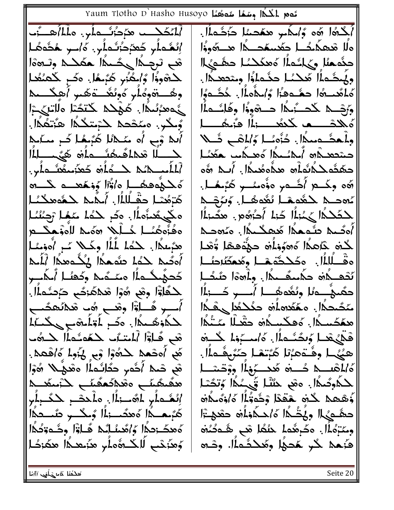raum Tlotho D`Hasho Husoyo مُعْمُدًا مُعْمَدًا Vaum Tlotho D`Hasho Husoyo ٱلْمُكَذِّـــد هزَدُرْتُــدلَرِ. هلْلأهـــزَد أبْكْتُه أَهُمْ وُاسْلَسِ مَعْصَمًا حَزَحْـُماًا. ولَا مْعِكْمِكْمَا حَعْمِكُمْ حَدَّةٍ وَذَا إِلَٰهٌ عَلَٰہٖ کَعَہُدَٰٓاتُّعَلَّہٖ . کَاسِہٖ هُتُّعَکُّا الررْمِثْه لِمُكْمَمَة الْمَثَارِهِ لِلْمَشْمَرِ ه علم مستمر المسترير المُسوء المُستحمين المستمر َكْتُوبُوْا وُإِيكُنُو كَبُنْهَا. وَكَبِّ كَكْتُعْلَ وِيَٰىثَـٰٰٓء)ا مَٰٓكْـُـا حَثَّـٰٰٓءلُوا وِٮتحمـٰهُا. وهُـــةُوهُلُم هُونُغُـــةهُمر أُهِكُـــمِه كَامُعْــوُا حَـقَــوكُوا وُامْدُوماًا. خُصُّـووُا لْمَحْمَدَ الْمَعْتَكُمْ مَكَهُمْ . الْمُنْبُمُوثُر وَرَجْها كُحِبَّىدًا حِسْوَودًا وِفَائِسِهِاًا وً حُلو. منصْحَه حَبْتَ جُمَا هُ تَهُمَّا. هُ لِكَشَبِ مِهْ كَحَفْ زِيرًا فَزَنفُ ا وِلْمِثْــٰمِـبِدَارِ. خُزُّەبُــا وُالمڤب ثَـــلا أَبْكَ وَجِي أَهْ مَتَّكَانًا هُبُعَمَّا كَثَرِ مَثَلِكًا للسكلا شحلك شمائه هُهُمسلِلاً حشحصاه أحلناه أهلكم تعكيل حَقَّقُهِ حَدُّرُتُهُ مَعَ مُعَمَّدٍ). أَبِي هُ م لْمُلْمِسِيكِكُمْ بِكَسْلَاهَ كَعَذَمِيعُنُسْمَلُوبِ. هُكُوْهِهُما وَاوْْا وَوْهُعَـــهِ كَـــــرَه هُ٥ وِكَــمِ أُكُــمِ وَوُوعُــوِ كَبُعُــلِ. كَتِمُنْمَا حَفْلَالُمَا. أَحكُما حَدْوَمِكْمُا مُحدد للعُمسْ لغُمعُد. وُبَجْد لِلْحَكْمَالِكِيْنَا أَجْهَا أَجْرُوهُمْ. هِتَعْبَدَأَا مْكَيْتُعَمّْوَا). وَكَمْ كَلَّاءُ مَعْظِمْ رَحْمَنُكُمْ وفَأُوهُنَا شَالَلًا هوَما الوْوْحِكْتُمْ أُوصُمِ مِنْمِعِما مُعْصِدُما. وَيُوصِم هبُسكًا. حدُمًا لَملًا وحَكِلا مَـ الْمَوْسُمَا لْحُنْ حْكَمَكْا هُمْوَوْلُمْ حَيْفُعْهَا وُهْدا أَوَصُط لِكُما حقَاهِمًا لِكُـوْهِمَا أَلَمْـط ەڤــللله. ەكـكەھــا ومَحمَّىُردئــا كَحهُنْدُهاُ مَمْنُمَنْ وَكَعْنَا أَيْكُبِير تُتْھِــدُٰہَ حَدُمـعٌـــدًا. وِلَمَّا صَـُـدًــا حَمَّد ْـــولَا وِنُعْدِمُــــا أُــــــو حُـــــزاًا ِكْـفَاوْٓا وِمْعِ هُوۡۤا مْكَمَّحَمَّـعِ حَرْحَـنُـمَلَا . أُسْبِ فَسَاوَّا وَهْبِ رَهِ ۚ هُدَنُعْفُب الْمَكَرِ الْمُكْمُمَ مَالَمَ مَكْمَةٍ مِنْ الْمُصَكَّدَ هَمَّكَسِيْدًا. هُڪْسِيْدَةَ حَقْبَلًا سَتَنْدُا لللكر رەشلۇل بەڭ . المىشۇنىك مْحِ قَـاةًا ٱلمتـَـَّات حَــَّمَثَــَ الْــــَمُّت فَكَّلُهُمَا وَيَكْسُماً فِي الْمَسْبَوْءُ لَكَسْرَةَ هُم أُهضُها للَّهُوٓا وَمِ لِأَوا وَاقْعَهَ. هيُّها وِهُـتَحَرْبَا هُرَّتَهَا حَنَّوَجِفُـمأَلِ هْمِ صْمْ أُخُم حَكَانُـماً! هِمْهَـٰلا هُوْا لِلْكُوصُكُا. وهَي حَتْنَا قَيْسُكُا وَتَكْتَا ھقىقىئے ەقىلاكمقى*ئے* لازمى*قى*ل إِنُعٌـٰملُرٍ لِمُمُــزِلَمَانِ مِلْحَصْـرِ حَـكَــزِلَٰرِ وَٰهُما لَكُنَّهُ هَفَكَا وَحُدَّةُ أَا دَاوَدٌمَكُنَّ كَبُرِهِــدًا هُمحَــــ;1اً وُلكــــو تسَـــتدَالُ حَشَّمِيْ الرَّحْفُدُا وَلَمَنْكُمْ وَالْمَحْمَوْيَةَ وَالْمَحْمَدِيْنَ الْمَحْمَدِينَ َهَ مَحْصَنِهِ ۖ إِنَّ الْمُسَلِّلَ ﴾ هَـارْ الْمَ وَشَـٰهِ وَكُـدًا ومَنْزَهُ أَا. ۚ وَكُرِهُما ۖ حَنُعًا ۚ قَبِي هُـ وَكُـٰدَة وُهَٰٓئِكَبِ لَاكْتَوْهَامُ هُنُبِعِيْهِۗا هَمَّنَڪَ هَٰۂِهِهٗ لَکُم هُحکُما وِمَُحَکِّمَاًا. وِصْح

الخالا محفأ شهدانة أنفكنه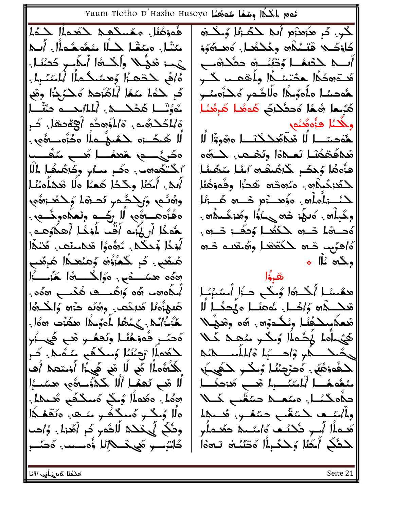تَّوْمِ لِمُكْمُلٍ مِمْعُلٍ مُتَوَهْنًا Vaum Tlotho D`Hasho Husoyo فُووْهُلُا. وهُسكُهِمْ لَكُمُواْ لِكُمَّا لْكُنْ ۖ ذَا مِنْهُوْمَ أَبْدَ كَلَّصَوْنًا وُلِّكُ مَهْ عَتْبَا. مِمَعْلِ حَلَّلِ مُعْمَعُماً!. أَبِ كَلْفَكُمْ قْتْـَـٰكُلُّهُ وَخُلْـكُعَـلَ. هُمْــةُوُفِ جْمِعْ شَيْمًا وَأَحْدَثُا أَمْكَمِبٍ كَتْسُلْ. هُ/ڤي كَـثَـهـُ;ا وَهسُـكَـمأا ٱلمُتَنَـٰبِـا. مُحتَّومَكُمَّا حَكَّنْسُكُمَّا وِلْمُعْصَبِ لَحْسِ كَرِ حَدُمًا مَعْمًا أَمْلَكَرَدِهِ مَحْكَمِجُوا وقْع ھُەھسُل ەلمُەرَّىدًا ەلَاشُەر كَىحْزُەمسُر حُوُثْـــا كَحْكــــى. أَلْماأىحــــم مْتْـــا كَبْسًا هُـمُّا هُحثَكْتِكَ كَمَعُكَ كَبِعُنَـا وْ، الْمَحْدُوُ مِهِ وَ، وَ، الْمُؤْمِنُ مِنْ أَرْكَةَ مَثْقَلَ. كُبِ ولمكْمُلْ فِأَوْقُلُومِ هَفْصِيْطِ لَا شَذْهَكُكُنْطِ هِوْوَا لَا لَا هَىكَــزە لِكَمَنْهِــهِ/َا ەكزُّەــــوەُى. ەكرۇپ مەھكىلى كىلەت بەلگە هْدْفُقْفُسْا تْمْدْهْا وِنُسْم. كْبُرُه أَلَكْتُكُمُوهَا وَحَادِ وَجَارَهُمْ وَلَا الْمَلَامِ فأوكا وُحكَى كَاهُبْقَاهِ اللَّهُ المُكْشَلَة أَبِي. أَيَّتُنَا وِجْدًا كَمِيَّا هَا! شَهْلُويُنَا. للَّعْزِكُمِلَاهِ . هَدُهِكُمْ هَدُرُّا وِقُودُمُلَا  $\mathcal{L}$ وهُنُم، وَرُكِحُم لَحِدْهُا وَكَعُدْهُمْ وَ هُ أَوْهَا وَكِي الْإِنْ رَضُومِ فَسَرَوْهِ وَسَلَمَهِ وَلَدْ مِنْ وَجَدِلُهِ . وَلَيْ ذَهِ لَكُوْا وَهَٰزَجَـُـمِلَهُ . هُدكُمْ أَرِيَّتُهُمْ أَقَّبَ لَمُؤكِّلُ أَهكُوُهُمْ . هُحَــِهُمْ شَــهِ كَكُعُــاً وُحَفَّــ; شَــهِ . أُوْحُلُ وْحِكْمْ. مُثَّوَوُل قَدْمَسْك. مُنْتَوَلَّا هُ الحَرِّبِ شَـهِ لِمُكْتَعْقَدا وِهُمْعْنَدَ شَـهِ ِّهُنَّفٍ. كَرِّ نَكْمُزُوُّهَ وَهِنْعِيْدًا هُرِمَّتِ وكمه ئلا . هَهُه هِمَـــــهُم . ووَالْحَـــــهُ الْمُؤْسَـــزُا ۿڔؙٛۥ همُسُلم أَكْسُوا وُحِكَ حِزَا أَستَبْنُـا أَسْلَمُوهَمَا هُوَ وَإِنَّكَمَسَــدَّ هُدْسَـــعِ (200). هَكَــدُه وَاصُّــل. خُمسًــل مهُـحكُــِل لَلـ هْبِجْوْمُل هُدِيْعِي. وِرْهُ مَا حَزْرَهِ وَالْحُسْرَةُ ا هَّزْمُزْ/يُـدْ. ﴾ لِمُحُلْ لَمَوْمِدًا هكْنْتِ هِءُا. تَعْمَلُبِيكُمُلْ وِيُكُورُهِ . هُو وِتَعِيْلًا كَمَكَ الْمَشَاءُ أَمْكُمْ مُتَّوَمًّا مُحَمَّلًا مَثَّلًا مَثَّلًا مَثَّلًا مَثَّلًا مَثَّلًا مُتَ ەَحنَــر فْـەفىمْلـا ونُـْھىــر شَــر فَـيــزُر لِكَعْمَلَا رْحِنُنُمْ وَسَكْكُم مِّنَّمَكْ. كَــْ بِكُلُوْهِ الْمَلْمِ لَهِ فَيْ أَوْ مَعْهَمْ أَفْ لحُفُووُهُهُ. هُحرْجِنُنْا وُكْبِ لِكَفِي َهِ لَا مْبِ نَعِمًا أَلَا كَلاَؤُسِيُّورٍ مِنْتَسَرًا حِفْهِكْسَا. مِتْعَسِمْ حِتْقَسِمْ كَسْلًا الْمَمَاءِ. دَهُداًا وُلْکٌمْ دَسَلَکُمْ مُعْمَلُهُ. ەلَا وُبِكْـرِ ەُمىڭگىر مُىــدە. ەنقْصُـدًا وأاسّم للسّف حسّف و عُملاً. هُدهاُا أُسر ثَكْلُتَ وَامْسُكْ تَعُدهاُرِ وثَكَ لَكِكْتُكُمْ لَلصُّوخُ أَهُدَا. وُاحَد كَاتِبْسِ هَيْكَـــــاللهِ وَْهْــــبِ وَ وَصَـــبِ وَحَمَـــبِ لْحَثَكُمْ أَمَثَلَا وَحَكَـٰهِ الْا وَتَنَفَّـٰهَ نَـْحَاهَا

الماأأ بيهائي بالفريغة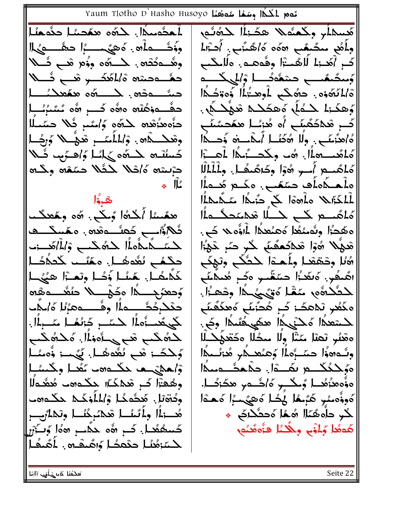Yaum Tlotho D'Hasho Husoyo تَوم لِمُكْمَلٍ مُعَصَّرٍ لْمَحْمِيجًا. كِتَوَه مِمْحِسًا حِذْمِعُلْ هَيْسَالُمْ وِكْعَثَمَا لَا هَدَٰ; أَا كَاهُنُمْ وأَهُدٍ مُشَهِّمٍ 200 كَاصُّنُوخٍ أَصَّرَاءُ وِهٗےدُدُہ . ﴿ مَٰىٰ وَوۡوَا هُبَ دَٓے ا كَبِرٍ أَهْدَا الْأَهْدَرْا وِقْوَعِدٍ. وَلَاحْكَبِ حىئـــەخە . كــــەّە مەھىكئـــا هُالمُلْهُوْهِ . حَدُّكُم لْمُوهِنُهُمْ وَوَوَحُكُمْ حڤَــــموْكُلُه ه\$ه كُـــــر ۞ه مُمُمُرُـُـــِـل وَهكْنا لِمُشْكُلٍ وَهكْلُمْ شَهْلُكُلٍ. كَــرِ هَـٰهُكَمِّنَــعُــمُ )ُه هُـٰهُــدًا هَـمُحَسَّنَــع دَّەمْ أَهْدَه لَاهُو وُاسُعْ فَلا حَسَّىلًا هُ/هزَّمَـٰبِ . وِلَا هُكَسُـا أَمِدْسِـةٍ وَجِــدًا وقعك جُرْهِ . وْالْمُسْمَى قَعِيْهِ وَرَجُهَا هَٰلمُعْـــهلَال هُــ وكُحــنُمِكَلا لْمَصــرْا كَسْلَاه ۖ ۖ دَهُه ﴾ إِمَّا وَإِعْرَابِ وَلَمَّا مِنْكُمْ الْمَحْمَدِينَ مِنْكُمْ الْمَحْمَدِينَ مِن داسته هُاشلا لمشُلا مسْقَهِ وكَم كَاكَسو إُسر هُوْا وِحَاكَتْفَا. وِلْمُلْمَالَ والمسكوات حسّمها وكالم مُحدداً  $\bullet$  12 أَلْمَكْتُمْلًا هَاهُمَا لَكَمْ شَهْدًا مَعْكُمْهَا **ئگرؤا** همُسُلم أَحْدُهُ! وُحَکٍّ. هُه وهُعكَــْ مُلمُسِع كَبِ حَسَلًا شَهْتَحِكُـمَلًا هِ هَجُرًا وِثَمِئْعُلِ هُجِئْعِدًا لِمَاؤُهِ لَا حَبِ ثُلاِّزُٱب جَمِنُـــه\$ده . ممّسِــْـــف هَيْلًا هُوْا هَدْكُمْقَيْنَ لَكُو حَبْرٍ هُوْءًا لكسَكَنْدُهَا لَكْتُمَكْسِي وْالْمُاتَعْسَىزْتْ هُمُا وحْقَقْدا وِلَمْدَا حَثَكَ وِنَهْكَ حكْمُبِ نُعْدِهُــا. دَهَّنَــب كُحِدُكُــا كَكْتُما. هَنُا ذُكَا وِتَعَاَّ هُيُا اهُىفُر. ەُنگْدَا ھىشىر ەگ ھُىلْىگ لمَشْدُوهُ مِمْقَدْ مَقْدِ مِهْدَا وَصْحَابَ وَحَمَرُحِ \_ \$ا وَجُهْ َ \_ لا حَنُقُـــوشِهِ حلَّــاحُثُـــِــــــه/ا وفُــــــــــهمْزُلا هُ/لجْت ەڭگىر تەھكە كېر گېتىگى گەنگەنگ . جَمِ الْمُنْفَرِيقَة الْمِرِيَّكُ أَمْتَعَمَدُ كَيْݣُدْ-أْمَاأْ كَسْبَرْ كَرْتُهْـا سُبْرَاًلْ. وهْنُرِ تَعْلَا مَنْاً وِلَا مِكْلًا وَكَعْهُكَلَا كْتُمْكُمْ، أَمْوَلْمَانِي مِنْكُمْ مِنْكُمْ مِنْكُمْ مِنْ مِنْكُمْ مِنْ وَحْكَــٰ; شَــِ نُقُدهُــل: يَهْـــٰ: فُومُــٰل والعطيم لمكنفحا تحل وكسلبا وَكِنْكُمْ بِمَسْوَا. حَقْمَصْسَمَا وَهُدْرًا كَمْ شَمْكَةَ حَكْدُهَتْ مُحَمَّدَلًا ەۋەھزۇھىل ۋىڭىپ ەاڭىمى ھڪزۇسل ودُقْهَا. هُدْهُمُا وْالْمُوْكُمْ حَكْمُوم أَمُوؤْهِنُبِر كَبَّبِـهَا لَمَكُـا هُـمِيَّـبِّ! هَـمـْهَا هُـــزاٰلُ والَمُسُــل هَـٰهُـُـرِحُنُـــل ولَـٰهارُنِـــزِ لگو حلْوهُمُلْ هُ**مُ**ا وُحفَكِرَكَ ﴾ كَمَعُطْ وُلْمُو وِلِلَّـنُا فِزُهِقَنُم كَسْمُعُداً. كَــرٍ ۞ه حَكْسرٍ ۞هُ وَسَنْرَر لحْسَّرْهُنُا حَكَمْحًا وُامُّىڤُ۞. لِمَّهُـا

لناأا رهأئره الفكنة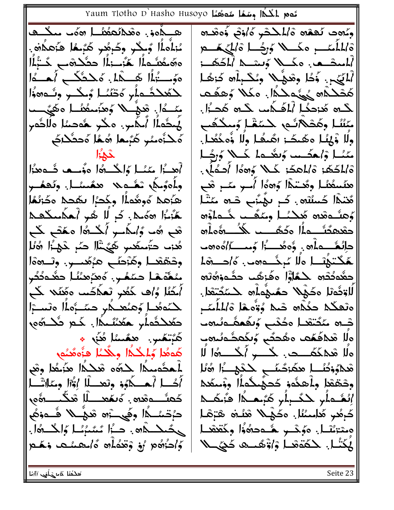Yaum Tlotho D'Hasho Husoyo تَوم لِمُكْمَلٍ مُعَصَّرٍ هيجود. وتَعْدَنُعفُشُا هوَ سَكْتُ ومُهت نُعفه ۞الملحصُو ۞اوْثَى وُههْده تَهْلِمُلْمَسِمِ مَكْلًا وَرَجُهَا قَالِمَ مِصْطَلَا مُناهاً أُوَسِكُو وَكَرِثُوا كُرُسُهُا فَأَهَدُوهُ . دَهُمُعُشُماً الْمُجْسِنَاً حَثَكِّتْهِ حَبَّدًا أُمْلِمِنْتُــم، وَكَـــِلا وَلَسْنَــدْ أَمْلَكُنَّكَـــز دَوۡـــتَٰٓٓٓٓٓہُٱ لَّهُـــدُّلَّہُ ۖ وَكُلُّـَــ لَٰٓ اَسۡــدُا كَمَلْكَيْمٍ. وَهُمْ أَوْسَعِيهِمْ الْمُؤْمَنِينَ وَالْمَسَاءِ وَالْمَسَاءِ لْكَعْلَاشُـٰهِ/رِ وَتَعَمُّـٰا وُمِكْـرِ وِتُـٰهِوَوَٰا مَصْحَمُهِ ﴾ [المُكمرُونَ مَكَلاً وَهِ فَصَ كَ هَ هُزحَكُمْ أَلْمَكُمْتَ كَ هَ هَجَزَا. يئاءُا. هِوْ الشَّامُ وَهُنَا عَلَى الْأَسْمَعُونَ الْمَسَىٰ مِّسُّل وِمُحْلَّائِهِ ۖ حَمَّقَا وَسَكْفَبِ لْمِحْْمَلَٰا أَمْكُسِ. مكْرِ حُدْحَمْا مِلَاحُْمِرِ وِلَا وْلِمُلْ دِهْبَكَ; اكْبِيهَا وِلَا وْدِكْعُلْ. كَمْدَّەمْبُو كَبُرْها شَهْا كَحَثْكَاكُمْ ۖ مَنْسًا وْاهْصُــب وُبْعٌــما كَــلا وْرَجُــا تكمدُ ا أُهِيُّ مَمْاحَ وَالْحُدْهُ أُوَّسِعَا كُدْهَا: هُ/لَكَتُعُ; هُ/لَعَكُ; كَـلاً وُهوَٰا أَصَفَلَىٰ. وِلُمُوَىلُو تَشْتِيحَة الْمُسْتَبَارِ. وَتُعَمَّــو هنَسمُنُـا ومُـتمْا وُههُا أُسو مَـّـ هَــ هَزَهه هُوهُماً ومُحَرَّا بِغَجه وَجَرْبُهُا مُتَمَّا كَسُلَهُ . كَ بِهُنَّبِ دُهِ مَتْل هَّنْتُمْ 100 مِلْ مِنْ الْمَاسِكُ مِنْ الْمَعْلَمِيكُ وُهلُــهِ هَدْ مَدْـُــا وَمَكَــب خُــواوْهِ تَفِي شَاءَ وَٱمذَاسِرٍ ٱلْمُسْدَّثَا مَعَضَ لَمْنَ حقدمَتْـــملَّا مَحْمًـــب لَكْـــــوْمَارُه حِلِنُعُـــداُن وَوَمُـــزُا وَمـــــزُانُوه هُذب حَتَمِمَعْمِدٍ هَيْشًا حَمْرٍ حْجِمًّا هُلَّا هَكَتْمُتَكَّلَ أَمَّا مُرِحَّدِهِ وَمَادِيَّةً مِنْ الْمُسْتَمَرَّةُ وِدْتَفْقَط وِكْنْحَسَّى عَزْهُمِـــو. وقـــ30أَ مْمُقْدَمَا حَسِّمُـنِ. ەَھزَھنُنَا حَقَّـەدُدُن حَقَّدَتُدَه ۖ حَـمُّارَّا ۖ هُ مَ حَـمَّدَ مَعْهُ مَ مَعْدَمَ أَخَلًا وُافْ خَفْرٍ ثَمَّاكَتْ وَهِّلَة كُلُّ لَاوْدُوْلَا وَكَـٰهِلا حَمَّىهِمْلُو كَـٰمَدَّتَهَا. لأَعْمَاءِ وَهُمُعَلِّمُ مِمْسَرُّها وَتَسْتَرَا ەتقىكى كىڭە شىي ۇۋەھل ۋالملى*ئ*ىر حَفَلَدْهُام حَفَيْتُمَدًا. كَـم تُلْـوُهِ، تْـــْه مَكْتَقْعَــا ەكْتْب وُبَعُعْقُــەلُــەت والشراكك ومحافظه وتكفظ وليوت كَبِّتْكُس، هَكْسْدًا هُنَّىٰ \* كَمِعُط كِلْمَلاكُمُّا وِلِلْكُمُّا فِتُومُّكُم ەلل شىمككىــــت ، گــــــر أىگــــــــوه الل لْمِحْمِيجُا لِحَمَّهِ شَكْمًا مِنْبَعُدِ وِمْعِ هَدۡوَدُنُــا مِكۡزَحۡنَــ كَــْدِيــُ ۚا مُنَا أُحُـــا أَحَـــدَوُو وتَعـــلا إِوْا وِسَاتَـــا ودْتْفْقْدا ولْعَذُو كَحَهْمِكُمْلًا ووْسِعُدا كَعنُـــدهُد، كَتَمُعَـــلَّا شَكَّـــــ هُم إلْعُــْملُـرٍ لكــُــرِلُرٍ هُرُــِملَا هُزَـهُــدَ دُفِسُـدًا وفَي آه شَوْسًا ۖ فُـدفَه كَرِهُرِ هَٰاسِمُنُا. 5كَهْلا هْنُـفْ هْزَهْـا ومتتنْقال وَوَحْبِ هُـودەُوُّا وكَعْعْمَا لِمَحْشَا. حَكَمَّقْط وْاقْقُصْدَ كَحَيْطًا كَرَاحَةُ، وَمَعْ وَتَعْدُلُهُ وَأَسْتَعْشَفَ وَحَصَّصَر الخالا محفأتهم المفكض Seite 23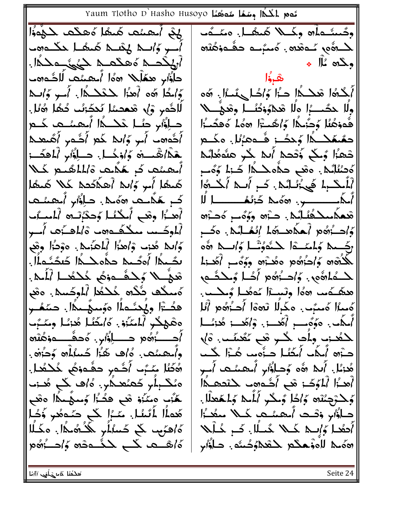raum Tlotho D'Hasho Husoyo مُعْمًا مُعْمَدًا Vaum Tlotho D'Hasho Husoyo لِمْ أَحْمَنُتْ ضَعْلَ وَهِكُتْ كَيْوَوُّا وكُنْشُوْهُ وَكُنْلًا كُنْشَارْ. وْمُنْشُو أسو وُأَسَدًا لِكْسَدًا هُنصًا بِمَكْتُدُومَا كَمَامًا مُسْتَدَاهَ . كَمَنُوسُمْ حَقَّدَوْهُلُهُ أَمْكُمْ مَعْتَقْمَةٍ مُحْكَمَةٍ مَسْتَكْمًا . وكماه ئلا . حاؤُام مَعَالَىٰ (6% أَمْعَنْتُ لَاحُـُـوهـ **ئگرؤا** وَإِيضًا هَء أَهِدًا حَكَمَكُمَّا. أَسو وَإِسِمَّا أَكُمُّا شَكْمًا حَزَّا وَٱكْلِكْسَّالِ. هَء اَلْخُمر وْلِا مْعصْنَا نُحْدِّنُـ دُهَٰا هُنَا. ولَا حصَّـــرُا ولَا مْحَرَّوْدُسُــا وِمْحَى ۖــــلا حاِوُّار ملّا حَكــدًا أَحمسُــم كَــم هُودُمُلْ وَحَزَىٰهُا وَاهُمْتَوْا هِءُمْ هُعَصَرُا أَخُذهب أُسٍ وَأَلَّدَ لَكُمْ أَخْدَبِ أَصَّعِدَ حَمْتُهُكُمَا وُحَكُّ: فُــوْمُرُنَا. وَكَــو ِهْدًا نُفْسِرْه وُاوْخُــا. حــاِوَّار اْلْمَحَـــز حْھاٗا وَ ۖ ذَوْحَهِ أَبْهِ ۚ كُنَّ هَنَّمَعَائُهُ أَلْحَمْنُكَ كَرِ هَذَّلِكَ وَالْمُلَحَّلُونَ كَلَمْهُ كَحِنُلْكُمْ. هِ هَمْ حَذْهِكُمْ أَ حَـٰهَٰ وَقَصر أَمْكُمِهُ فَيَخْتُلَهُمْ. كَمِ أَسِمْ أَكْشَرُهَا كَمِيعًا أَسٍ وَالله أَهكُفُوه كَلا كَمِيعًا كُمْ هُكَسِكَ 200ْمِيًا. شَاِؤُارِ أَمْعَشُكَ أهدُا وقب أَمكْنُا وَحِدْرُتُه ٱلمسأم هْمِكْسِكْفُلْلُكْ. حَزْرُه وَوُهُبْ هُجَرْرُه ٱلموكسيا مككَّبوها وْالمْقْبَاهَا أُسْو وَاحِدُوهُمْ الْعَكُلْاتِ الْمُسْلَدُ. وَكُسِمْ رَجَـــدا وَلْمَـــْــٰهَ لَـــٰـُمُوْتَــا وَاسِــد هُم وَّابِهِ هُذِبٍ وَاهِدًا أَلْمَدَيْهِ. وَوْجًا وَهْيَ ىصُّىمًا أُوصُّىم حِدُّوجُكُمَّا ضَصُّولًا. لَكُثْفَة وَاحْزُهُمْ وَهُنْزَة وَوَّهُ وَلَاعًا لَمَعْنَ لِمُسْمَاهُونَ وَاصْرُهُمْ أَصُلُّ وَلَكْسَو شَرْسًا وَحْشَـٰءوَهُ مُحْصُـا ٱلْمَٰحْ. ەَمىڭك ئىگە ئىلىئىل آلموڭىيىد. ەھر هدَهُـــهُــــ «هُا وِنْسِـــاْلَ مُهمَّد أَوْمِــلـــــــــو. وَمِيرًا وَمِيَّتٍ. وَكَرِلًا تَحَوَّا أَصَرُّهُمْ أَبَّا هِدُـُـٰٓا وِلَكِنُـٰهِ/ْ وَوُسِهُـٰمِدًا. تَسَمُّـب أَمِكُفٍ وَوَقَعِصٍ أَهْضِ: وَأَهْضَا هُزَسُنَا ەھْھكىر آلمىنَّزْق. كَامْتُلْل مُنْشَل ومَنْشَرْب أحـــــأرُهُم حـــــالْوُّاسِ. هُحفُــــــموْهُلُه لمكفن وأد لمس ثق مُقْدَسٌ. ثَلا حِزْرَهِ أَيَّكُمْتَ أَيْضُلَّا حَـزَّەت هُـزَا لَكُـت وأمعشعب هُاف هُنُا حُسْلَاه وَجُرْهِ. هُدنمًا. أَبِي هُو وَجِبَاؤُهُمْ أَيْتَعَبَّنَّكَ أَسْوِ هُكُمُا مِمَّبُد أُخُمِرٍ حفَّموهُم خُلاعُدا. أَهِدُا ٱلْمَوَّكَ: هَي أَشُوهِ لِكَنْتَهِمَا ەنگىبلُر كَھنُھىگُر. ەُ/ف كُل ھُـزى وَحْدَجِنْتُه وَاجُا وُحْكُو ٱلْمَحْدَ وَلَمَعَطَلَا. َهَّنُوا مِمَّنُوْ هُم قَضُرًّا وُسَمِّمَ*هُ*ا مَعْم كَعماًا لَمُتَسَاء مَنَّإِ كَي حَمْحِكُم ذَهَا حَاؤُانِ وَتَنْتَ أَنْتَقِيبُ كَبِيلًا مَعْنُوا أَحفُط وَإِلـٰهَ خَــلاً خَــلًا. كَــرٍ خُـلَلاً ەُ/ھۇپ كى كَسْلَاْمِ لْكُلُّەمْلَا. دْخَلَلا كَارْهْـــم كْـــــم كْـــْـــمْشْنْ وْاْهــــزْ، وْم وَوَمِيمَ الْوَوْحِكُمِ لِكَعَلَاؤِكُتُو . دَاؤُاتِ

الخالف منه أحدثه المفكض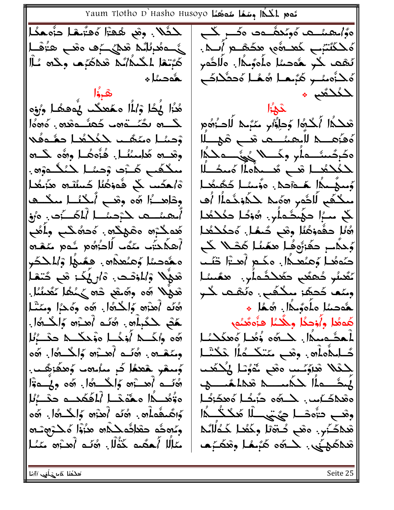raum Tlotho D'Hasho Husoyo تَمَهُمُ اللَّهُمُ اللَّهُ بِمَعْظَمَةً َكْثُلاً . وقَعٍ هُفَتَا هُفَتُنَهَا دَتُمَكُلُ ەۋايھىئىك ەوئىچىگىمە ەكىس لگىغ ەَكَكَتَبْبِ كَعَدِقُو، مَكَتْصُمْ أَنَكَ. يُـــومُرْلَلُــمْ مْدْكَيْــــرِّفْ ومْنِي هِـتُرْفْـــار كَبْتُمْا لْمُكْتَكَّلَة شْدْكَبْتْ وْحْدْهْ عْلَا تُّنْقَفَ لَكُمْ هُوَجِبُنَا وَلَمْوَجُمَّاً. وَلَاجُومِ ەَخْزُەمسُــر كَبُنْعَــا ھُـعْــا ەَحثَكْلَكَــى ـ هُ٥دسُا ۞ لمُلْكُم \* هُذَا يُحًا وْ}1ًا معْعكَــ يُـهِـعَمَّـا وِزُوْه تحلبوا هَدَدًا أَحْدَثَا وَحِلْأَارِ مَّبْهِمْ لَاحْزُوْمِ كَـــــــه ىكَــُــــةهم كَـمَــُـــهمَده وهوهُ وْحِسُلْ مِمْشَـب لْكُلْفُطْ حَقَّـهِ فَلا هُ فَزَعَـــــــمْ الْبِعْـِيْــــمَـهِ شَيْــــلَّا هْجُمُمِسْــهِ/مُر وحَــــلا يُهْرَّـــهِ حِكْمُ وقْدِهِ هَامِينُا لِي فُزْوَهُا وَوْهِ كَدْهِ للحُلامُه أله مَعْنَ مَلَّاهُ مُسْتَحَمَّلُهُ مَنْ الْمَسْتَحَمَّلُهُ سڭگىم گىزدە ۋھسا لىنگىمۋە . وُسِيْسِمَا هُدَآدِهِ. وَوُسِيًا كَتَفْسُلُ ة/حكَسَ لَكَ قُدْوَهُمُّا كَسُلْآه هزَّمْعُدا وڅاهـــُ;ا هُ٥ وقب اُمكْــَــا مىكـــف مىڭگىي لَاخْمې «ەُمىھ بْلْكُافِيشُمالَ أُف أُمعسُـــعا لِـــْـرْحسُـــا أَلمَكــــَوْت ورُوْ لَّى مَثَرًا حَهُنَّمَاُنٍ. هُوَدًا حَكَكْمًا هُلَا حفُّوهُلَا وِهْمِ صُعُا. هُحكُكْعًا كَعْمَدْرْهِ ۚ هَمْكُلِّهِ ۚ وَحَدُّكُمْ ۖ وَلَمُحْ أَهكُمْتُو مَمَّف لَاحُرُهُمْ شُومِ مَعْدُهِ وُحدًى حَفَرْوَفُا مِمَّسًا مَصْلًا كُلِّ ەھەدىئا ۋەئىدەن. ھِمَّىھَا ۋالملكىر حَمْمُط وُهِنُعِيكَالِ. وَكُبْعِ أَهْشَا قُتُب كَتُعْسُرِ خُمْتُنِي حَقُلْتُشْمَلُرٍ. هَمُسُنْل هَيْهِ ۚ وَالمُوْصَى ۚ وَٱرْبِكُمْ: هَي حٌتها وسُّف حُجھُ; مَذْکُبٍ. وَنُشْعَب كُبِ شَيْمًا هَ وَهُمْعَ دَهِ كَمَثَلَ تَعْمَلُكُمْ. هُدَهْدُ مِلْمَوْمِكَانِ هُـهُا ﴾ هُمَه أَهْنُوه وَالْحُدُّهَا. هُو وَهَجَرًا وِسَتْبَلَّ ـَمَّتَى ـَكْـَـَـٰہِٱنْ . شَنَّـٰهُ أَهْــَـٰٓىٰ وَالْحَــٰضَّا . كَعفَا وأَوْحَدًا وِللَّــُا فَأَوَقَّـُم هُهِ وَٱكْكُمْ أَوْحُكُمْ هُوَحَكُكُمْ حَكْسُرُكُمْ لْمَشْمَىكَا. كَنْتُهُمْ وُهْدَا هُعَكَكْسًا صَلِحْفِهُمْ، وقب مَتكْدُلًا حْكْسًا ومَعْصَدِهِ . هُدَتِهِ هُشْتُرْتِهِ وَالْحُسْدُهِ . هُهِ كِسِمْرِ لِمُعْمَلَ كَرِ سَاءِدِهِ وَهِكَازِكَتِ . يِلْتَلاَ هَٰذِرُمُـْتَ هُفَى شُوُيْتَ وَيُحْمَّت بُمِدْهَا لِكُمِيْسِيْ مْعَالِمُسْتِيْنِ هُ اَهْلِ الْمَسْتَرَى وَالْحُسْدُا ، هُء ولِي عَوْا ەھْككىب. كەھ دۇمگىل ھەكزگىل وَوُّهُـــدًا مِـهَّدَكَــا أَٰلمُكَمَــد حَكَــرُنُا وهب حثمشا كهتها من المستحق ومنهج وَاكْتِيقُواْرُو . هُدُو الْحِزْرَةِ وَالْحُسُوا . هُو هَدْكُنُو. هِ صُحْ هُـوْنَا وِكَعُدا كَـهُلَلْكُمْ وَمُهِدًّه حَعْلَاهُمْحَــاهُ هَاوْاً هَكْـوْهِـْـه مَعْالًا أَبْعَضُتْ جَدَّلًا ﴾ وقتُ أَهْدَرُه مَعْمُلًا هُدْهُدْيَنِ . كَــرَهُ هُ مُجْمَعْ الْمُهْدَمِ

المُ الْأَمْلِ مِنْ أَيْضًا مِنْ الْمُحْمَلَة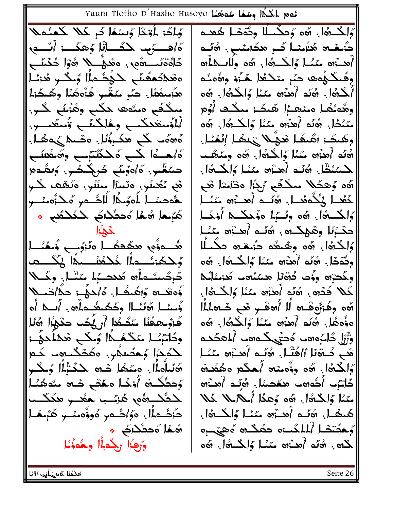تَّوْمِ لِمُكْمُلٍ مِمْعُلٍ مُتَوَهْنًا Vaum Tlotho D`Hasho Husoyo كَمِلْكُمْ لَمُقِدْلَا وَسَنْعُلْ كُم كُلًّا ۚ كَلَّمَنَّمَكَّلَّا لَلْعَنَّمَا لَلَّا لَلْعَنَّمَا وَالْحُــوَٰا. وَه وَحِكْــلًا وِتَّوْصْلِ هُعْــو هُ/هِــــوُمِــ لِكَـــالْلِ وَهكَــــز أَنَـَـــهِ دَّىمْـــه هَـٰتُنْــْـــل كَـــر هكَـٰفِــّـكِي . هُكَــه كَاهُةْنُـــْرُّەر. ەقْدِيْـْ لَا رُّوْا كُنْسََــ أهنَّ مَمَّاحٍ وَالْحَسْرَةَ فَي وَلَاتِهَا وَلَا ەھْلاَكْمَفْسًى لْحَكْشُمْاًا وُمْكْسِ هُرْسًا وقُبْلَكُمُوهِ حَبَّرٍ مَثْلُكُمْ هُنُوْ وَوََّوْشُو هَزَسِعُمُلَ. حَبْرٍ مَنْقُسٍ فُزُّهِهُمْ وَهُمَخْزِلَمْ أَكْتُوا. وْݣُو أُهْرُوه مْنْدَا وَاكْتُوا. وْهُ مىڭگە ەمئەھ ھكىم وڭزْمَّە كىر. وهُدَنُكُمْ دَسْعَةً لَمُكَّرَّ سَكْتُ أُوُم مَنْطُلِ هُنُه أَهْنُوهِ مَنْا وَالْحُلُولِ هُو ٱلْمُوْسِقْدِكْنِبِ وِهْلِكْسَّبِ وُسَعْنِسِبٍ. ەُھەَب كىي ھكبۇلا. ەشىم كەھل. وهَكَنْ الصَّدِّ الصَّحْمَةُ الصَّدَّةِ الْمُتَمَارِ. هُمَه أَهْبَرُه مَمْلًا وَالْحُدُّهَا. هُم مِمْعُب ەُكىم ئەڭ ئەينىشىم بۇ ئۇيغىت ھئقُس، ەُاەۋىگ كَرېڭىگىر. وُلِگْىەم لِكْسَنْتْلْ. هُنَّكُ أَهْتَرْهِ عَبْدًا وَالْحُلْهَا. هُه وُهكُمْ سَكْفُ رُدُّا هِتَاسًا هُبِ قْعْ كَتّْصَلُو. وقسالَ مِمْلُو. وَتُنْقَفَ لَكُسْو ـهُەھسُــا لِمَوۡــٰا لَاهُـــٰـەرٖ ەَــٰـأَەمسُـــر لَحُعُمِ الْمُحْدَمُ الْمَرْتَ وَالْمَسْتَرْدِهِ مِمَنُوا ا وَالْحُسْوَٰٓا ﴾ وَهُ وَسُهَٰٓا وَوْحِكُمْ أَوْحُلُّا كَبُرِها هُـهُا هُحثَدْكَمْ لِلْكُلْكُنِينَ ﴾ حدْبُرُا ومْهكس وُمُك أهنَّوه مَنْدا تحمدُ ا شُــوزُه، ممَعْهـَــا وَنَزْمِـــ وُحْمُــا إَوَالْحُدُّهَا. هُ٥ وِتَعْمَدُه حَبْسُهِ عَكْسَلًا وَحْمَّيْتُــواْلِ دُحْمَٰنُــوْلِ لِكَــو وثَّەڅل. ھُنَّە ٱھْنَرَه مِّمْا وَالْحُلُّيُّ). ھَء كَرِكْسِيُّداُرُه هُدَدَيْهِ مِنْشَا. وكَلَّلا وكحثره وَوَٰد دُقْهُل همَنُده وَهُنالُكَ كَمِلاً قَدْمٍ. هُمَّه أَهْتُو مَمْمًا وَالْحُدَّةِ . أَوْهَدُهُ وَاكْتُفْلَ. أَاهْتُمْ: حَذَّاضْتُلَا هُه وِفَزْوَهْـه لَا أَههْـو شَع شَـهللَا وُّحمُــا هَنُـُـاا وحُـصُــعُــعلَمت أنـــــم أه كَزْوَٰٮهِكُلْ مَنۡصُعُدِل أَرۡ لَمۡكُٮ حَدۡهُۥٓا ۖ وَٰلَا ەۋەكا. %ئە اْھزْھ مَعْا وَالْحَدُّا. %ە ودًاتَبُــا مَكْــُـدُا وَ كَــح شَدْلُـدِيَــ; وَرَّزَلَ كَاعَوْهِ مَا مَنْ الْمَحْدَدِ مِنْ الْمَكَدَدِ هْبٌ حُـجْرْا ٱاهْتْـا. هُنّـه أهــ;ْه مَنْـا لْكُمِبُرَا وَحَصَّلِكُمْنِ. 50ْشْكْسەت لَخْتَعَ وَالْحَدَّهَا. هَه وِذُهشته أَحكم هعُعُده هَنُىأَهِ أَلِ. ممَعْهَا خَــْ هِــْـَــْ بِمَا وَجِـكْــرِ وۡحثُکُـ ۞ اُوۡکُـا ہمۡقَـہٖ حَـ ۞ متَّہۖطُـُـا كَاتِبُ أَخُوهِ مَعْصِمًا. هُرِّئُمْ أَهِيَّوْهِ مَعْلَمَ وَالْحَدَّهَا. هَءٍ وَهِجًا أَسْلاَمِلا يَمَلا لْمَشْلَـْــْ00 \$ مَنْمَــب هَقْسَــب هَكَلَّــْـت كَمْتِقْطَ. هُنَّكُمْ أَهْتَرْهِ مِمْتُطْ وَالْحُسْرَةَ . دَٰٓتُـڡڵؘٳ. ٥ٶؙٜؗٛٳڞٞڡڔۦ٥ٚۅۏ۠ٞٯٮؙٮڔۦػڔٞٮڡؙڶٳ وُحدَّتْنَا ٱلْمُلَّدُونَ حَقَٰلَتَهُ وَهِيْ وَمِ ھُمُ مُحثَّلاَكُمْ ﴾ وَرَجَزًا رِجُمِلًا وِحَمْدُنَا كَلُّهِ . هُنُّه أَهْنُوه مِمْنًا وَالْحُكُمَّا . هُه

الخالا محفأ شهدانة أنفكنه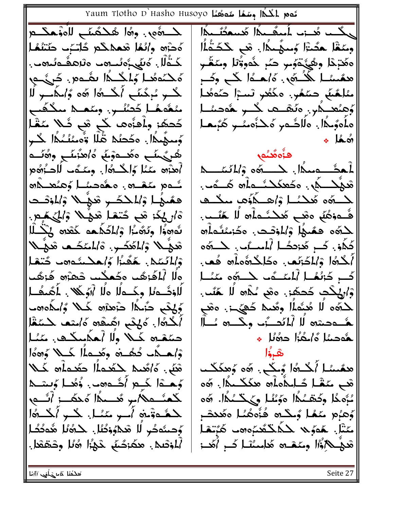تَّوْمِ لِمُكْمُلٍ مِمْعُلٍ مُتَوَهْنًا Vaum Tlotho D`Hasho Husoyo وَلَّكَ مَنْ أَمْدَّقْتُمْ أَمْسَامًا لِلْمُسْتَمَرَّكَ مِنْكُمْ لمُسْتَوْمٍ. وَهُمْ هُلْكُمْتُمْ لِلْوَوْهِكْمُ وِسَطْۤا هَثَىٰٓۥٓۤا وَسِيَّىدًا. شَي حَكَـٰٓةُۢاُا َهَدْرَه والْعُا شَعْمَاكُمْ دَلْتَ مَنْ حَنْتُهُا . مەمەنقى ئەسسە ئىرىشقى ئىسى. ەھْتېكا وىھى تۇس كىر جەوۋال ومىڭىر هَكْتَمَعْظُمْ وَلِمُكْلَمَ الصَّحْمَةِ . كَيْنَ مِنْ همْسُلِ لَكُنُونَ. وَاهْتُوا لَكَن وَكْسَرِ لْحُسِ مُرِكْتُبُ أَنْحُسْدُا هُء وُالْحُسِبِ لَل مْلَاهُمَّة حَمَّهُو. 2كَعُو تَسْتَرَا حَكَمَعُوا مْعُدَهُا كَتْشُر. ومَعْكَ مَكْتَف وَهِنُعْبِكُمْرِ. وَتُهْلِيمَا لَحْسَنِ هُوَجِئِنَا ا حۡحمِّزٖ واۡقأوها کَے مٓے شَلا مَقَا ەلمۇمكال ەللگىم كىڭمىسى كېمىل وۡمِمِيۡكِمَا ۚ. ٥كَحتُمْ تَٰٓاْلَا وَۨٓ٥مَتُنَـٰكُمَا ۖ كُــُـر  $\bullet$   $\mathop{\text{L\hat{so}}}$ وأهقنها هْنَيْمَهْمْ دَهْمَهْمْ دَاهْنُتَكِي وِهْكُمْ لْمَدَّــمِمْلْ. لَــــوَه وْالمَنْــــــمْ أُهِنْزَهِ مَعْمًا وَالْحُلُّهَا. ومَعْدُب لَاحِنُرْهُمْ شۇكىگە . ەكتىككىشىملە ئىسگە . مُـــه مَـمْـــهـ و هُوَجِئِيل وُهِنُعَـــدَهِ لمسوَّى مَكْسًا وْاهْكُوْمْ مِكْتُفْ فَعَنَّهُمْ وَٱلْمَحْصُرِ مُحَمَّى اللَّهُ وَٱلْمُؤْتَسَفَ فَــهوَهُـُمۡ هَنَــ مُعَــُــُـه أَلَا ـعۡنُــب . ةُ ارْكِحُ: هُبْ كَتْعْمَا شَيْئًا وْالْمُكْمِينَ. لَدُووُا وِنَمَّنُا وْاٰلمَٰكُمُ هَدَ كَتَحْدِهِ ۖ لِنَكْلُلُ لِّكْتُهِ هِمُدِيُّا وْالْمُوْتَـْتِ وَخَبْسُنَّـْهَاهُ كَكُوْ. كَبِرٍ هُزْدَهُــا أَلْمَسْآب. ݣَـــهُ٥ تَعَيْمِلاً وْالْمَكْسِ. ةْالْمَكْسَفْ تْعَيْمَلَا أَكْتُوا وْالْحَرْنُف. وْحَاكْتُوْوْا وْهْمْ. وْالْمُتْمَدْ. هَقْدُا وْاهْلْمْشُدْدەب خْتْصْل ەلَّا  $\hat{\mathcal{U}}$ كَانگىي ەڭھىلىي شەش كەنگىي كَبِ كَرْتُهُـا أَلْمَمْــدُبِ كَـــوَّةٍ مَمْنُــا لُلوْشُــهُ/ وكُــهِ لَا مَلَا أَآوُلَا ﴾. لَمُمْعُــل وْارِيْكُتِ كَحِمَّةٍ. وقْعِ مُكَّارَه لَا هَنَّبٍ. وَلِكَمِ حَبْدًا حَبْعِلَهِ كَمِلاً وَالْمُوهَب لحَقُّه لَا هُنُمَاُ ومُّعط كَصَّخٍ. وهُم هُـــدمشه لَا أَلْمَنُـــزُب وِكْــــرَّه مُـــالَ أَمْكَاهُ!. كَايْكُمْ اكْسْفُلْهُ كَامْتُعْا لِكْسَفْلَا هُ الْأَمَٰا أَمْلَٰهُ الْمَمْرَانِ حمّقه كَلا ولَا أَحكُمكِ مِنْدَا وْاْهِــدَّىــ دُهُـــوْ، وهُـــداً لَـــلا وَوهْ ۿۥۏؙٳ همُسُلم أَكْتُوا وُكِي. وَهُ وَهِكَكَت هْلُم . هُاهُده للصَّده اللَّه عَلَيْهِ مَسْلًا مَنْهُمْ مَنْ الْمَسْلَمُ كَرِيْمِيْدَا لِكَبِيْهِ أَكْسَمَاهَتْ. وُهُنْدَا وَيَسْتَبْدَأَ مْبِ مَقْـا كَـامْهْمْاه هككــمدا. هُه كْعَشْــْمِلَاسِ مَّــْــَمَّا مُحَمَّــۃ أَنَّــٰمِ مُؤْهِدًا وِكَتْفَـٰدًا وَوُعْـًا وَيُكَـٰدُدًا. وَهُ لْحَقَّدَةُمِينَ أُسِيرٍ مَمْسًا. كُسِرٍ أَكْسَرُهُ! وُهرُم مَعْا وُمْكُده فُزُّهِمُا هِمُدَكَّر مَثَلِ هُدَوِيا لِلْمُتَكَبِّرِهِ مَنْ هُبْتَهَا ُوحىئُەحُرٖ لَا شَكْوُوْتُىُا. ۞مَثْلا شُەتُحُا ٱلمْوْصْلا. مكْمْرَكْبُ خْلِيُّ الْمَالُ وِصْفَعْدًا. 

المالا مخائره للفكعة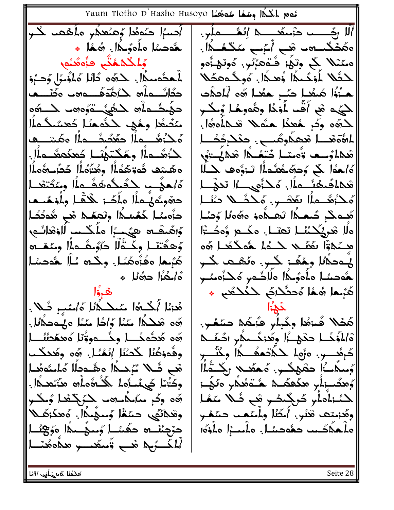Yaum Tlotho D'Hasho Husoyo Léo تَعْمَلُ مُتَعَمِّلًا مُتَعَمَّلًا مُتَعَمِّلًا مُتَعَمَّلًا مُتَعَمَّلًا أَصْبُرُا حَنُوهُا وُهنُعْدُمِ مأَهْمَد كُنِّر ەكككىلىمە ئۆلى أَجَب مَكْلَمُلُلُ. هُ حِمْلِ دَارَوُ جَالِ. شَهْلُ \* كِمْلَكُمْهُنَّمِ فَأُوقُنُومِ ەمئىْلا كُم وِلْكُمْ; ڤَـنْ9ْمَزْنُو. كَوْلْكِ-ئُ9ْو لْمَحَّدَمِيكَا). بْلَادُه ذَٰارًا كَانُوْمُرًا وَصَرُوْ لْحَثَلا لَمُوَحَسَمًا وُهِـدًا. هُوحُـدهكَـلا حَدَّائُــــہ اُن حَــْاهُـَهُــــــــــــه مَحْتَــــــــهــ هَـٰٓ;ُوۡا هُـُعُـا حَبۡ هِعُنا هُ٥ ٱلۡاحِدَّد حَمْدُ عالَمَ لَحَمَّيْ تَوَّدِّهِ لَكَ مَنْ مَنْ مَنْ َكَيۡكَ هُمۡ ٱُقۡتَ ۖ لَمَٰٓ ذَٰٓ وَهُوۡوَهُا وُمِكُـٰرٖ مَحَمُعًا وِهُمِي حَذَّمَهُا خَعْسَكُمَاًا لِحْتَهِ وَحَرِ هُعِدًا هِنَّهِ لا شَكْلُوهُا. هَكْرُهُـــملُّا حَعُصُــُــملُّا مِكْسَـــْ لمؤة مْسَلْ هْھكُومُسِي. حْكَرْحُصُــل لأزشْـملَا وهَكْتوْسْـا خَعْكَعْشَـملُا. هَٰذَا وُ؎ وْهُمْا كُنِّهُـٰهَا هُدْنَىٰ وَ هُ/ههُ/ ﴾ وَحمَّمُعْتُماً الْزَوْهِ كَلَّا هَ هَنْدَ وَحَقَّهُمْ الْمُتَوَٰهُ أَلَّا هُجَّرَ حَقَّةً هُ/ههُـبِ لِـثَمِـلُههُـشَـه/ُا وِيمَكْتَعْــا هْدَاگْىھْشُــەلُل. ەُخْتُوپِــالْ تَحوْــا حۋوئەلمەم ا داڭز كۆتما واۋھىم كَمْحُنُوهُــواْ لِعُصْبِ. كَمْحُصُّلًا صُنُــا حزُّەممُــل كَـمُســدُا وتَـمِمَــد شَــح هُـدَدُمُــلـ كُنْتَمَكّْمْ شُنْعَكُمْ لَيْقِيَدُوهُ وَهُوَلًا وُصُلًّا وَاهُنْقَنُوا حَيُّبُ إِنَّا مَا كُنْسَبِ لَلْوَهْلَائِمِ هِ اللَّهُ هُجِ يُحْسُلُ لَعْفَــاً. مَكَــع وُهكُــتْزَا وَهِقَتْصًا وِكَـٰٓةُالَ دَاوُٓىڤَـٰہِۗا وَمَٰهَـٰہ منكموْا بَعْضَلِهِ لِمَسْكُمْ هُوَجَهُمَا وَهُو كَبُنْهَا وَفُزُوكُنَا. وَحْدُ نُالَ هُوَجِبْنَا لْمُحَكّْلًا وِهُكَة كُرِينَ مَنْصْحَد كُنْسٍ ەُاگەُ: | دەمُل \* ھُەھى*ئ*ا ەلەُوَىدًا ەلَاشُەر ەَڭەم*ئ*ىر هُبُعا هُعُا هُحثَكِ حَكْكَب ﴾ <u>ی ڈا</u> هُدْنَا أَكْسُوا سَمْكُمُلَا وَاسْبِ شَهْلَا. هُه شَكْمًا مَمْا وُاحًا مَمْا هَهْءَ مَثْلًا. كَحْلًا قُـزمُا وِكْبِلُو قُبْكُمْ حِنَّفُو. ةُالمُؤْمُــا حدْمِيُّ وهُوَمَّــممْرِ احْمَــُـــه هُه مُدَّدَكُـــا وخُـــدووَّلاً هُمحَمَّصُ*لُــ*ــا كَبِعُسِبِ وَوَىٰ لِكَلْتَمِعُكُمْ وِيُتَنِّسِرِ وفَّدفَعُلا كَحِنُلا إِنْعُمُا. ۞ه ومَحكَـب هْــِ ثَــْلا تُبْـنــٰهُا مشَــٰمَلاً مَامشَمشا وَسِلَمِسْأَإِ حَقَّهِكُسِ. هُمَعُصِي رَبِّكُ أَلَم وكَتُوْمَا كَهِمَْسَانُهَا لِلْأَرْثَةِ مِلْأَرْهِ هِذَهَكُمْلِ. أَوُهْتُمْسِنْلُمٍ هَكُفْتُمْ هُنْدَهُكُمْ وَنُهُنَا لْمُنْزَاهَا مُرَكِّبِكُسْ هُمْ شُلًّا مَّعُا ا ھُٯ وکُمِ معَامِکُملھوما لِکَمِجِّکَھَا وُمِگُــُو وثَلاَنَّى حَنَّقًا وَسَهَّدًا. هُمْذَهَلا وكَذَّمْتُكَ كَتُلُو. أُمَكِّنُا وِلْمَعْمَدِ حَمَّعُـو حرْجِنْنَــه حَفَـنُــا وَمِـنَّــنَدَا هِ وَجَهْـَـا مأهدَكَــب حمَّدَعَــا. مأمـــرًا مأذَهُ! ٱلْمُكْتَرِيمْ قَبِي وَمُتَعَمِّسِ مِدْهُمُنْسَار تَعَلَّمُ الْمُسْتَمَامَةِ الْمُسْتَمَامَةِ الْمُسْتَمَامَةِ الْمُسْتَمَامَةِ الْمُسْتَمَامَةِ الْمُسْتَمَامَة Seite 28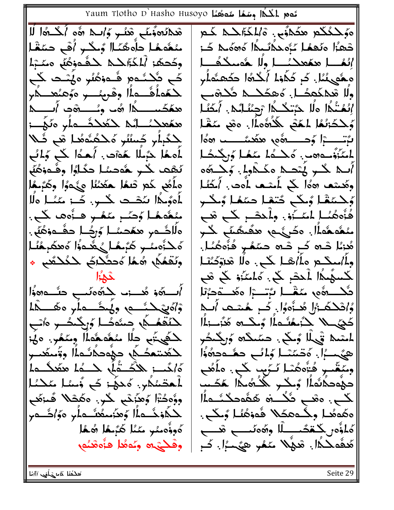تَّوْمِ لِمُكْمَلِ مِمْطِ مُوْمَئِكِ Yaum Tlotho D`Hasho Husoyo هْلاَنُدَوْمَنِّع ۚ تَعْنُــر ۚ وَٰابِــدْ ۞ أَيَكْــدُّا لَلْا ەَوۡكَـكُـكُم مَكَمُوۡى ۚ وۡلَٰلَـكَۃَلَـكُـم كَـم مُعْدَهُا داْدْشَاا بُىكْبِر أُفْ حَمَّقْا تَحْمَٰرُا هَنُعْمَا مُزْهَدِكَانُمِكَا هُ‰َمِيْ كَـَرْ وحُحهُ; ٱلْمُذَالِكُمُ لَكُمُوهُهُ مَمْثَلُ إِنْهُــا مِمُمِنْــْـا وِلَا هُومِنْدُهُــا كَے ثِكْسُّتَمِ قُـتَمِوْهُمُو مَهْتَـت كَــح مِهْمِيسُلْ. كَمْ كَلُوْلُمْ أَبْكُلُهُ احْتَمِعْدُولُم للْمُماشُــما وقَرِيبُـــرِ وَوَهنُعـــدُر ولَا هَدَىَحِصًا. هُ مَحَكِـد ضَكْرَهُـب إِلْعُتُمَّا وَلَا حَبَّتْكُمَّا رْجِئْلِيَّ ، أَحَنْل همَكَســـــدُا هُــ ويُــــــوْتِ أُنــــــدُ وَحْكَرْتُهُا لَمَّتَى حَكْثُهُماً فِي مَقْل هكَعلِنُسْ لَمُعَا لَكُلُوكُ وَالْمَسْرَةُ وَالْكُلُوبَ ِكْكُرْمُرٍ كَمِسْتُرٍ مُكْمُثَمُعْلِ قَبِي شَكَّلَا تَبْتَـَــــــرًا وُحـــــــوةُ مِ مكْعَــئـــــــــــ وهُ ا لِمَاهُمْ حَبْطًا هَذَاتٍ. أَهْدًا كُلِّ وَلَمْكُمْ لْمَنْزُوْسِومِي. كَمْلْكُمْ مَعْصَلْ وُرِكْبِكْلْ نَّهْعا لَمْدِ حُوصمُا حَكَاوُا وِفُـووَٰكُهِ أىك لحسو ليُتصبر ەكمىدولى. وُلِمْسَةُه وهُنتف هوُا ﴾ لَمشف لمُوت. أَمَثُنَا مِلَمَٰى لَهُمْ شَمَّا هِمَّنْنَا مِنَّوَا وِمَّبْهِا لْمَوْسَدًا سُصْحَدٍ حُسْرٍ. حَسْرَ مَنْسًا وَلَا وَحْسَقْا وُحْكَ حُتْهَا حَسَمًا وُحْب فُزْهِمُمُا الْمَحْزَوْ. والْحَصْرِ كُلِّ هُلِّ مُنْهُمُا وُحِبٍّ مُنْهُبٍ فِـزُّوهَا كُلِّي. ەلَاشْـەر ھەّحىئــا وُرجُــا ھڤــەوْھُهُ. مْگُەھُمَّا، ەڭرېْتە بەشھىك كَنْجَامِنْتِ كَبُرْتُهَا كَكْتَجَاهَ كَامَ الْمُتَحَارَةَ الْمُتَحَارَ هُزِمُا شَه کَے شَه حمّهُ ۽ فُڙُههُما. وِنَقْعُكُمْ شُمُّلْ مُحَثَّلَاثُمْ لِلْخُلَقْدِ \* وأاسكم هأاها كبي ولا هزوِّكْنْدا كْسَهُبْدَا أَحْشَرِ كَلِّ. مُاسَنُوْ كَلِّ شَي  $\hat{K}$ أُسسهُوْ هُسنو بِلْهُونَسِي حَشَــوهُوُّا كُكْتُوهِ مُحَمًّا بُتَّبَّ وَهُتَّوَرْتَا وْأَى لِكُنْسِمِ وِيُهْشُسْمِهِ وَهُشَارَةٍ وَهُسَيْمًا وَ وُاتَّنْكُمْرُلُ هُـزُّهُوا ۖ. كُـرِ ـهُـشـْعَـدُ اُنــِدْ لْمُتَعَمَّـــكُمْ حِـنُدَكَــا وُرِيْحُنْكَـــرِ هَاتــح كَحِيَى الْكَرْمُلَسُماً وُحِكْمَ هَٰذَا خَلَيْهِ بَلْمَ . بِمُمْدَمٍ الْمَشْمَشْدُ الْمَ حِتْرِيْهُكُمْ لمتىك قىللا ۇمكى. ھىئىكە ۋېڭىئىر للتَّعْسَمْكُم حرْهُحدُّثُماُ وَقُسَعْب<br>﴾ ) هُفَ اللَّهُ عَلَى اللَّهُ عَلَى اللَّهُ عَلَى اللَّهُ عَلَى اللَّهُ عَلَى اللَّهُ ههُمارًا. هَتَمَنْمَا وَالَى حَقَّـهِصَوْوَا ومَثِقَسِرِ فُتُوهُمْا تَـرَبِ كَـنِ. ماهُن لْمَصْلُمُو. كَحِيُّ: کَے ذُسُل سَّكْسًا حهْ حَكْشَهُ أَلْ وُحْكَـبِ ۖ كَلْـُـرُّهُ حَكْـتَ صَلَا ۖ حَكَـتَبَ كُبِ. ەقىي ئَكْسە ھَفُەھكْسُماًا وِوُوكْتَا وَهٰذَهَم ۖ كُلِّ. وَكَيْݣُلْ قُـنَهُم للِكُوْخُسُمْلَا وُهزَّمْمَعُنُسْمِلُرٍ وَوُاحُسُمْرِ ەكەمُلا وڭەھكىلا قُەوْمُىُل وُكُلى. ەَلمۇەرېڭىقتىپسال وەەئىسى ھىس ەوۋەمئىر مىنا كېمىغا شىغا وقلتهم ونماها فأه شنو هَفُمحكَمَل. مَعهَلا سَعُر هيَجَا. كَمِ ا الخالا محفأ شهدانة أنفكنه Seite 29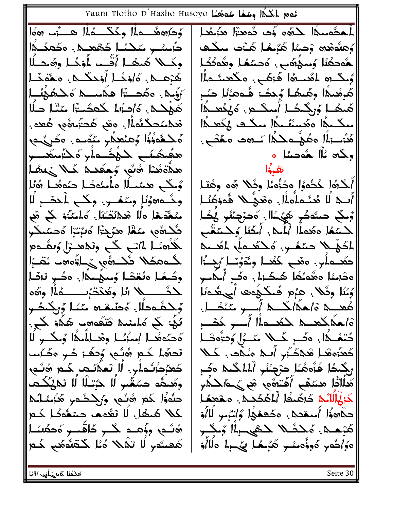تَّوْمِ لِمُكْمُلٍ مِمْعُلٍ مُتَوَهْنًا Vaum Tlotho D`Hasho Husoyo لْمَحْمَىكَ الْمَدَّةِ وَ شَعْبَةِ مَنْهَمَا دَّىسُــو مَكْسُــل كَــْھَـعْـــدْ. ەكَـعْمُــدُّا وُهلُوهُه وَحِسُلَ هُبُسُلَ هُـزَت سَكْـُف وكَـــلا كَــمْـــل أَقْـــد ــلُوْحُــل وهَـحــلُل هُ عَصَلًا وَسِيْرَهُ بِ ۚ هَ حَسَمًا وِهُ عَصَٰلًا كَرْهِــدْ. هُ/وْحُــلْ أُوْحِكْــدْ. مِعْدَحْـلْ وُكْتُ الْمُسْتُوا فَزْهُبٍ. مَكْعَسْتُمْلَا كَرِهُداً وكَعِهْا وُحِصًّا فَـْحَمَّرُنَا حَبِّر رَّؤْمِهِ. هِمُحَــــَةُ هِهُمـــهِ مُحْمَٰوُهُــا كَهْكِمْ. وَاحْتَنَا كَعَصَّتَنَا عَتْبًا حِلَّا كَمِنْصَاغَ وُرِجِّحْصًا أُمِيكِيمِ. كَالْمُعَيْدَا مكملاً متستَمَمُّا مكد الْمَسْتَمَا هْدْسْكَنْشْدَاْ. ەقْع كْحَتّْبْدْهُ مُحْد هُزُسزاً وهُهُدهَكُمْ سُدِده وَهُصْعٍ. ھڤِىھُىَّــى كۈڭــەلُر ەڭنىكىـــر وكاه عُلْل هُدْدَسُل ﴾ لمفررٌ /كَـدْ مُـعفَعةٍ مِثْاهْ الْمُةقْصَةِ ۿۥؙؗؗۥ إِلَٰـٰٓهُمْ لَحُثُوءُ إِهِجُنُّوءُ لِمَوْلًا ۖ وَهُو وَهُنَـٰا وُكِّع هِسُمَا الْمُعَصَّا حَدَمُهَا هُلَّا وِحْــوْهُوُلُمْ وِمَعْصُــوٍ. وِكْبِ لَمْحْصَــوِ لَل أَسِي لَا مُحْسَمِلُولًا. ومَعهْبِ الْهُودُهُ الْمَسْلَمُ مُمُقَاهَا وَلَا شَدْتَنْتَا. كَامَنَزَوْ لَكَ شَي وُ لَكُمْ حَسَّوَكُمْ هَيُّمَالَ. هُجَرْجِئْسُ لَكُمْ ا لِحَسَمُا وَهُدِماْ الْمَدِدِ. أَحَطُا وَكُسَفَبِ كُلْمُهِ مُغْلَ هَرَجْتَا هُنُتِتَ هُجَمْلُو لْمَلْاَمَىٰـا لِمَآتَـبِ كَلَّـبٍ وِتَلاهَــتَرَلَّ وُبِـقُــدهِر أَكَوْكُمْ حَسَّمْبِ. هَكَعُدْ أَهْتَدَ لَحْمَمَكُمْ شَكْسَوْهِ يَجْلَؤُهِمَا مُقْدَرَا حَعْــملَــر. ٥شـــ كَعُـــا وخُوُــْـالِرَحْــزَا وكُنْفَا دَنُقْشَا وُسَهّْبَدُا. دَشْيِرْ لْإِشَارْ ەڭلىئا ەھْەئكا ھَىڭزا. ەكر آىكْسو وَّعُلًا وِثَلًا . هوَمِ قَـمَـكُـهُمِهِ أَيْمِيَّـمَا الْمَهْ هُعْكُمْ هُلُهُمُلُكُمْ إِي مِنْكُمْ!. َوۡۡدۡھُ؎َدَٰلَٰا ۢ؞ ۚ ہَٮۡشَدہ مَنُنَا وَرَیۡکُنۡضُو َىُوْ; کُمْ ەَلمشىھ تْتَقُومِب ھَكُو; کُمْ ; ة/هكَمَكْعِيهِ لِمَكْسِماً أُسِيرِ هُصْبِ َهۡحَمۡهُمَا إِسۡنُمَا وَهَـالۡلَّمُا وُحَكُــوٖ لَا كَتْعُــٰٰهُا. ٥كَــرٍ كَـــلا مَــْرُلِ وَحَتَّ٥كَــل كَعْنُوهْمَا هُدْكَنُو أَبْدَ وَيُدَّفَ مِنْكُمْ تَحَمَّلُ خَمِّ هُيُّمٍ وُحَفَّ; خُـرِ هَخَامَت كَعْبُدُرْتُملُرٍ. لَل تَعَدَّلُتِ كَلَّمَ هُنَّى رِكِّىطًا فُأُهِكُمُّا حَرْجِنُنُو ٱلْمُلَكِّدِ هَصْرِ وهُدهُه حمّفٌبِ لَا حَبّتِلًا لَا تَدْكَلُكُت مَطَاتَهِ مِسَمَّعٍ أَكْتَمُّهِ هُوَ يَكْلُمُو حنٌهُۥ ٰ کُم هُنُم ۥ وَۢ کِے مُو مَا مُنْکِلُہ كَزْبُرَالَاتُكُمْ كَرْهُدِكُمْ أَمْاكُكُمْكُمْ . مَعْعَمُا حكْاهِوُا أُمعقَّكُمْ. وكَعَمُوْا وُإِنْبَسِ لَلأَوْ كَلًّا كَمِعْلَ. لَا تَعْمِمُ حَسْفُوكُمْ كَـْمِ هُنَّــهِ وَذُهـــه كُـــر كَاقُــــر هُحكَسُــا ۖ كَبْعِيهِ. هَٰذَشُلا حَسْيَ بِلَا وُجِّبِ كَحِيثُوبِ لَا تَكْلا وُمُل كُنْقَدُهُم كَــْم دَوۡاٰحُد ٖ دَوۡوۡمَـٰـَـٰ ۖ کَبُـٰھَـٰا یَکَـٰٓ۔اِ ۖ دَلَاۡاُوۡ

لناأا رهأئره الفكنة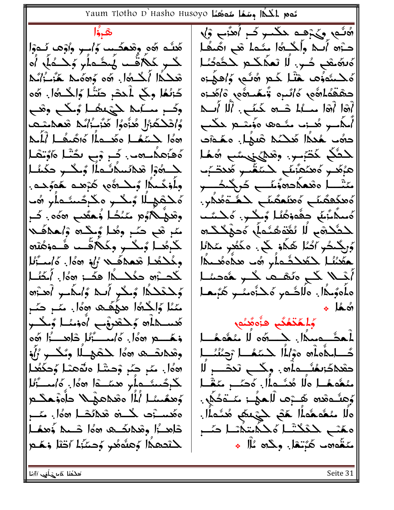Yaum Tlotho D'Hasho Husoyo تَوم لِمُكْمَلٍ مُعَصَّرٍ هُنُم وَيُبْهِم مَكْسِرٌ مَٰهِ أَهْنَى وَلِ ۿڔؙۥؙٛٳ حَزْهِ أَبِيهِ وَأَجْرِهُ مِنْهِمْ هَي امَّيهُا هُنُد هُو وِهُمُكْنِبٌ وَابِينَ وَاوْهَا لِلْوَوْا ەُىھَىھَى خُىر. لَا تَعَدَّكَ حَدَّمُكُم كْــرِ كَــْلاَقْـــ، يُــَــُــملَرِ وَحِــــُملَىٰ أَه تَعْكِمُا أَبْكُمُوا وَالْمَوْمَ وَالْمَحْمَدِ هَنُوسُوْا مُحَمَّلُ كَمْحْسَوُوْهَا هَنَّا خُطْ هُنَّهِ وَاهِجُوْهِ كَتْبُعًا وِكُمْ لَحْشَرِ حَنْثًا وَالْحُدُّوا. وَهُ دِهْقْعُاهُمْ وَاتَّىمْ قُسْعُدِهُ وَوْهَدْهِ أَهْلَ أَهْلَ مِسْلَمَّا شَبْهِ كَتَبَبٍ. أَلَّلَ أَسْتَدَ وكبر مسامط لمثلوها ومكب وشب وُاضْلُكُمْرُلِ هُزُّهُوا هُنُّنْدُانُكُمْ هُمَكْتِتُ أبكسو هُدزت مشاه ووُمثلو للكنب هِهُمْ الْمُسْمَّلْ وَهُــواْلُمْ وَهُمْ الْمُلْكَمْ الْمُلَكَمْ دەُب ھُددًا مُنْسَدُ مْلَيْل. مَغْمَآت ەُھزَەھگىسە . كَبِر وْبِي بِكُنْنَا هَاوُتْهَا لْمُثَلِّمَ خَضَرَ وَهُدْ إِنَّهَا مِنْ مَثْلِ الْمُحَمَّدِ الْمُحَمَّدِ ـدەُوۡا شَدۡنَـسَدُكُـماُا وُحكــو حكَـئــا هُبِمَكِ وَهُدَهُنَّكَ لَكَنفُسِ مُدَخَّبَت مَنْــا ەقىمەدەۋىئـــ كېڭىخــــر وِلَمْهَكُما أَوْسَلْمَتُوهِ كَبْرَهُمْ هُوَهُمُو. ەھكقمئى ەھئىقىئى لەشتەئدىن. ەڭگۈىلل ۇيڭىر ەڭرگىشەلمر ش وِتَعَهَّــٰلاَوُم مَنْكُـا وُحِقُنب ۞هُ٥. كَــرِ ەمىدىئى جىھۇملى ۋىگىر. كىكىت لحثَكشَى لَا نُعْدَهُنَه)َ هَحهْككته سَرِ هَي حَبْرِ وهُما وُسِيْدَه وْالْعَمْفُلَا كْبِقْدَا وُحْكَسِ وِكَلاَقْتَ فَـُدَوْكُلُه وَرِيْكُمْكُو ٱكْتَا هَٰذَهِ ۚ لَيْ . هَكَفُو مَنْظَالَ ومُكْتُدا مْعَكْلُهُ }}; «هُا. هُامِيَّزُل هَكْنُمُا كَتَعْكَشُمْلَهِ شَاءَ هَدَّەمُحْمَدًّا لَّكَحَــْ;َه حَكْــــكُمُّا هَجَــ: هوُّا. أَيَجُنُــا أيْبِلا كَبِي مَنْشَـْعَا كْسِرْ هُوَجِسًا. وَحْدْدُهُا وُسْكُرٍ أَسْمَ وُاسْلَسِرِ أَهْدَّهِ ەلمۇمەرلى ەللگىم كىڭدۇمئىر كېتىما مَمْا وَالْحُمَّا هِهُكَــهِ هِمَّا. مَــْ حَبْ  $\bullet$   $\mathop{\text{L}}\nolimits^{\circ}$ وَالْمُتَمُّكُ فَأُوقُنُوا كىسىدلەر كېڭگىرۇپ /ەفىئىل گېڭىر أَهدُ وَسَمَانَ لِكَ وَهُوَ لَا مُحَدَّدُهَا وثندانســـده 1هُ/ للــثمينـــلا ونُكْــــر ۚ رُأَوْ حُــاحدُه أو هوَامُلَا حَــمَـمُـــا رْحِمُنُــَــا ههُا. مَمْ حِمُّ وْحِشَا مِتَّاهِمْا وُحِكْفُاً حقَّدْكَ;ىمُشْــد،اُنْ. وِكْـــــح تَـدَـْـــــز لَا لْكُرِكْسِيَّـــه أَبِّ هَدَيْـــةَا هَاهَا. إِيَّاءَ مَسَوَّبُ مْعُدْمُــا وَلَا مُحْــْداًا. وَحَـُـــرِ مَحْشَــا وَهِشُوهُده هُـــرْها لْلعهُــز مُـــةكُلاٍ. وُهمُسُلُم أَلَمَلَ مَعْدَهِكُمْ حَاهَوْهِكُمْ وَلَا مُعْدَهُمَا لَمَنْ حَيْمِيمَ مُحَسَّمَا. ەھسىت كىغ قىلائقىل ھەل. مئىر دْاهِــُزَا وْهْلِانْھَــدِ 1هُ| شَــدِ ذُهفـا مَمْتَــح حَكَثْــا مَحْكَمَتِكْتَــا حَـَــرِ لكتحمكا وَهنَّمْسِ وَحِمَّدُ اتَّقَا وَلَهُ مِ مَغَّده حَبَّتْهَا. وكَّهُ مُلَّا \*

الخالف منه أحدثه المفكض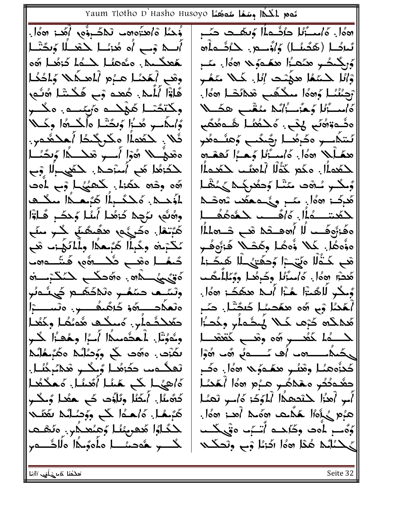raum Tlotho D Hasho Husoyo تَمَهُمُ الْمُحَمُّدُ Vaum Tlotho D Hasho Husoyo ذُهِمًا وْأَهْتُوهِم لَمْكُوفُو إِهْدَ هَا. ادَهُ أَنْ الْمَسْتُوْلَمْ حَاشَـٰهِ الْأَرْبَعَـٰتِ حَسَّـٰمِ ٱٖٮ٨ وۡٮٖ ۙ)ُہ مُدۡتُــا ۖ كَعۡــلَا وَىحُتْــا تَىركُــا (هَكَـىئُــا) وَ}وُّــــــــــــــا حَـاكُـــــــــه الله هَعكـــه. منْهمَــل حـــمُـل كَــْمُــل هُم أَوْرِكِمْكُمْ هَدَهْدًا هُمُوَكَّلَا هَاهَ الْمُسْمَرِ وهَبِ ٱلْمَحْسَا هـرُم ٱلمعــكَــمـلا وَلَمَــتَــل وْأَمَّا كَسَّعًا هَيْتَتَ إِمَّا. كَلَّا سَعْبِ قَاةًا أَلَمْكَ. هُعد وْبِ فَكُنْتًا هُنُو، رْجِئْنُـا وُھەُا مىڭگىپ شَكْنُـْـا ھەُا. وكَتَحَسْـا مَهْكــه هُرَمَـــه. مكـــر كَأْسِتُمْلَا وَحَنَّسْتُهُكُمْ مُغْتَبِ هِدَ لَا وُامكُسو هُـزًا وَىقَتْـا هِأَكْــهَا وكَــلاً ەئەتەرەكى كىشى ئەللىشلىر ھىمكى ثَلا. كَتَعْمَلُا مَكْرِجْمَةُ أَحْكَشُور. ئىتكىس ەڭرەبىلا رچىگىپ ۇھشـەھُد ەھھىلا ھُوٓا ٱٖٮـــو ھَـــــدَّا وَىصَّــا هِمَالِكَ 50\$. 6/مىڭۇلا ۋىمار ئېھىدە لمكَنَّفُا هُبِ أَسْتَحِكَ. لمَكْيَبِ الْمَجْرِيب لِحَمْدِمِلًا. مِكْمِ حَثْلًا أَمْاهِنَبِ لِحَمْدِمِلَا هُه وَدْهِ حَكَّمْهُا. كَمْعَنُّهَا وَبِ لِمَعَ وُحكْسِ سُتْهَتَ مَتْسًا وُحِعُدِجَكُمْ يَحْتَقَا لْمُوْحِكْ. هُكْتُبِذَأْ هُبُعِجَا سِكْتُ لِمَعْتِ وُلَمَالٍ وَأَقْسِبُ لِلْمُؤْوَوُكُ لِ وهُنَّى بَرْجِهْ كَرْهُا أُمُّا وَحكَـرٍ قَـاةٌا هَفَزْوُهُــد لَا أُهْهَــتُمْ هُبِ شَــْهِلْمَا هُبْتُمْلِ. وَكَرِيْهِمْ مِكْسِمًا لِكُلّْسٍ مِنْكَ هزُّهكَا. كَمْلَا زُّهكُمَا وِكْتْمَلَلْ فَنزُّوَفُـر مُكْتَبِعَةٍ وِكَبِلًا كَبُعِجًا وِلْمَائِيَّةٍ مَّع صُمُــا ەھَــى ضُــْـــەُ مُشَـــەەت لْمَحْمَدُ الْكَرْتِكُمْ ابْسَرْتُهِ الْأَشْكَرِ مِنْهُ ەقپەي ھەركىكى ھەتكىنى كەنگىزىسىزە هُدْ: 100 . كَامِيَّىُّلْ وِحْرِهُمْ وَوَّىْلِلْمِصَّى وُحكُرِ لَاهُمْرَا هُـٰٓا أَبِـدْ مِمْكَـٰ; 30]. ولْسُّــْ حسَّـُـْبِ هِلْاَخْتَصَــْتِرْ خَيْـِئْـُـهَـٰبُر أَهَٰدُا ۚ وَ ۖ وَهُ مَهُدئِهِ أَحُبَّتُهِ. حَنْبِ ەتمكاھىيىگە كەڭمگىسىر. ەتىسىسۋا حَعَدخُـڡامُر. هَمىدُـڡ هُـڡُـمُـا وحَصُدا مُدهَدّه حُرْم كَــلا يُــثَــمأَـر وحُدــٰزًا وِمُوُتًا. لَمُحَْمِيكًا أَبْرًا وِهُدْ;ا كُـرِ لمسهُلم كُعُسِيرٍ هُءٍ وَهْبِ كَتَعْقَصَا لَكُنْت ِ. هَ وَمِ لَكُمْ وَجُعَلْهُمْ هَكَبْتُكُلُّمْ بَهُمْ مِنْ رَأْمَلْ مِنْ مِنْ مِنْ الْمَمْرِ تَعكَــٰءمـٰ حَكَّرْهُــا وُلِـكْــرِ هَٰذَبْرِخُفُـاً. كَحْزُّەھمُـْا وقْتُلُـر ھَمُـٰءَوُلا ھَارِ. ەكْب ەُاھيُـا كَــ هَىنُـا أُهُننُـا. ەَھكْتُنا حِثْـٰدَكُـٰرِ مَـفَـٰدَكَـٰـرِ صـُرْمِ ۞هُا ٱلْعَـٰـُـٰا كَشَمْلًا. أَمَكْلًا وِلَلَّوْد كَے حَقْدا وُحْكَـرِ أَمِرٍ أَهَدًا كَتَحْفِظُا أَمْأَوُكُوْ وَأَمِي تَعْمَلُ كَبُسُمَا. كَاسْتُا لَكَ وَوَصَلْكَا تَقْتَلَا هذم يُهْمَا هَدَّمِت مِهْمِد أَهْدِ مِهْمِ وَوْسِمِ لِمُوتِ وَكَلِّكُمْ أَتْسَبُّتْ وَتْوَلِّكْسَتْ َكْخَاوُا مُعْمِينُنَا وَعِنُعِكُمْ ِ فَنُعْجَمَ لكسبر لمُوصئصا ولمُورْبِكَا ولَاحْسَنْ م كِيْحْمُلْكُمْ هُمْا هِءُا اَحْنُطْ وْبِ وْتَحَكّْدْ

الخالف منه أحدثه المفكض